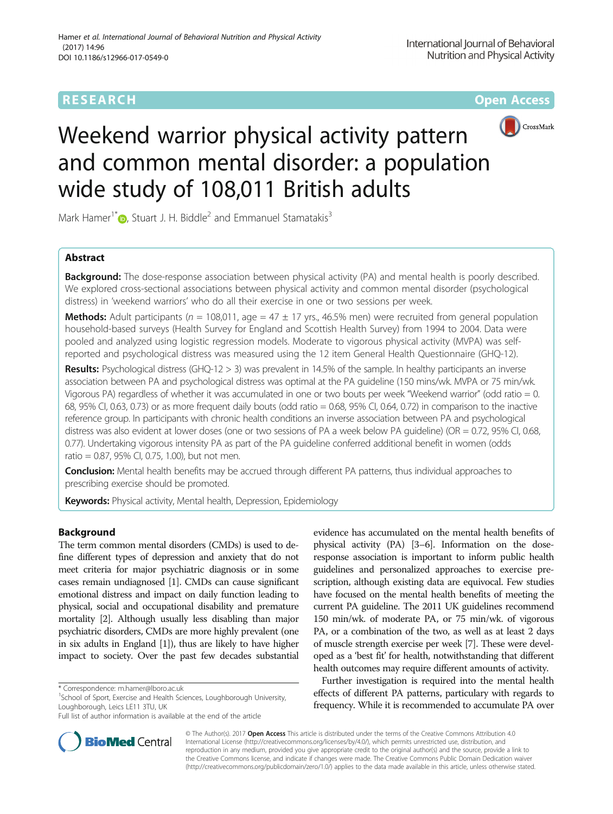# RESEARCH **CHECK CHECK CHECK CHECK CHECK CHECK CHECK CHECK CHECK CHECK CHECK CHECK CHECK CHECK CHECK CHECK CHECK CHECK CHECK CHECK CHECK CHECK CHECK CHECK CHECK CHECK CHECK CHECK CHECK CHECK CHECK CHECK CHECK CHECK CHECK CH**



# Weekend warrior physical activity pattern and common mental disorder: a population wide study of 108,011 British adults

Mark Hamer<sup>1\*</sup> $\bullet$ , Stuart J. H. Biddle<sup>2</sup> and Emmanuel Stamatakis<sup>3</sup>

# Abstract

**Background:** The dose-response association between physical activity (PA) and mental health is poorly described. We explored cross-sectional associations between physical activity and common mental disorder (psychological distress) in 'weekend warriors' who do all their exercise in one or two sessions per week.

**Methods:** Adult participants ( $n = 108,011$ , age =  $47 \pm 17$  yrs., 46.5% men) were recruited from general population household-based surveys (Health Survey for England and Scottish Health Survey) from 1994 to 2004. Data were pooled and analyzed using logistic regression models. Moderate to vigorous physical activity (MVPA) was selfreported and psychological distress was measured using the 12 item General Health Questionnaire (GHQ-12).

**Results:** Psychological distress (GHQ-12 > 3) was prevalent in 14.5% of the sample. In healthy participants an inverse association between PA and psychological distress was optimal at the PA guideline (150 mins/wk. MVPA or 75 min/wk. Vigorous PA) regardless of whether it was accumulated in one or two bouts per week "Weekend warrior" (odd ratio = 0. 68, 95% CI, 0.63, 0.73) or as more frequent daily bouts (odd ratio = 0.68, 95% CI, 0.64, 0.72) in comparison to the inactive reference group. In participants with chronic health conditions an inverse association between PA and psychological distress was also evident at lower doses (one or two sessions of PA a week below PA quideline) (OR = 0.72, 95% CI, 0.68, 0.77). Undertaking vigorous intensity PA as part of the PA guideline conferred additional benefit in women (odds ratio = 0.87, 95% CI, 0.75, 1.00), but not men.

Conclusion: Mental health benefits may be accrued through different PA patterns, thus individual approaches to prescribing exercise should be promoted.

**Keywords:** Physical activity, Mental health, Depression, Epidemiology

# Background

The term common mental disorders (CMDs) is used to define different types of depression and anxiety that do not meet criteria for major psychiatric diagnosis or in some cases remain undiagnosed [[1](#page-5-0)]. CMDs can cause significant emotional distress and impact on daily function leading to physical, social and occupational disability and premature mortality [\[2\]](#page-5-0). Although usually less disabling than major psychiatric disorders, CMDs are more highly prevalent (one in six adults in England [\[1\]](#page-5-0)), thus are likely to have higher impact to society. Over the past few decades substantial

<sup>1</sup>School of Sport, Exercise and Health Sciences, Loughborough University, Loughborough, Leics LE11 3TU, UK

evidence has accumulated on the mental health benefits of physical activity (PA) [[3](#page-5-0)–[6\]](#page-5-0). Information on the doseresponse association is important to inform public health guidelines and personalized approaches to exercise prescription, although existing data are equivocal. Few studies have focused on the mental health benefits of meeting the current PA guideline. The 2011 UK guidelines recommend 150 min/wk. of moderate PA, or 75 min/wk. of vigorous PA, or a combination of the two, as well as at least 2 days of muscle strength exercise per week [\[7\]](#page-5-0). These were developed as a 'best fit' for health, notwithstanding that different health outcomes may require different amounts of activity.

Further investigation is required into the mental health effects of different PA patterns, particulary with regards to frequency. While it is recommended to accumulate PA over



© The Author(s). 2017 **Open Access** This article is distributed under the terms of the Creative Commons Attribution 4.0 International License [\(http://creativecommons.org/licenses/by/4.0/](http://creativecommons.org/licenses/by/4.0/)), which permits unrestricted use, distribution, and reproduction in any medium, provided you give appropriate credit to the original author(s) and the source, provide a link to the Creative Commons license, and indicate if changes were made. The Creative Commons Public Domain Dedication waiver [\(http://creativecommons.org/publicdomain/zero/1.0/](http://creativecommons.org/publicdomain/zero/1.0/)) applies to the data made available in this article, unless otherwise stated.

<sup>\*</sup> Correspondence: [m.hamer@lboro.ac.uk](mailto:m.hamer@lboro.ac.uk) <sup>1</sup>

Full list of author information is available at the end of the article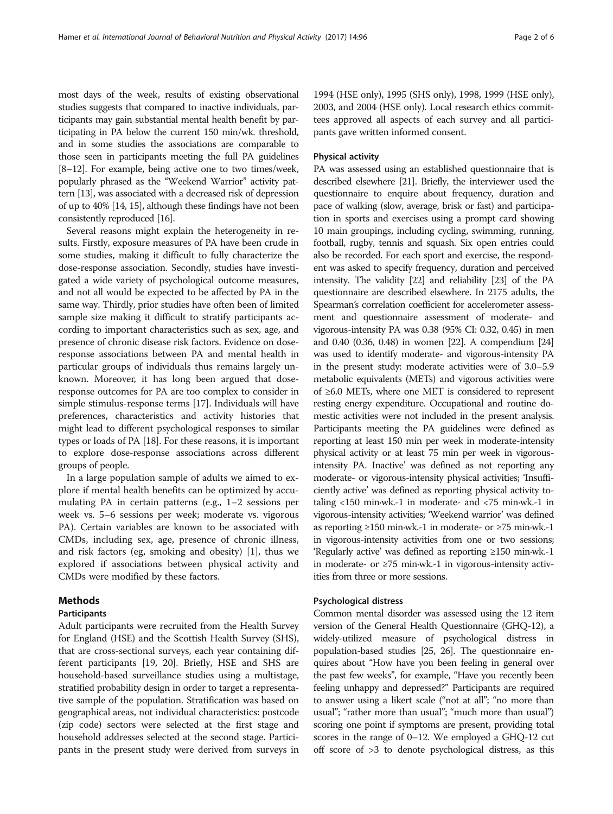most days of the week, results of existing observational studies suggests that compared to inactive individuals, participants may gain substantial mental health benefit by participating in PA below the current 150 min/wk. threshold, and in some studies the associations are comparable to those seen in participants meeting the full PA guidelines [[8](#page-5-0)–[12\]](#page-5-0). For example, being active one to two times/week, popularly phrased as the "Weekend Warrior" activity pattern [\[13\]](#page-5-0), was associated with a decreased risk of depression of up to 40% [[14](#page-5-0), [15](#page-5-0)], although these findings have not been consistently reproduced [[16\]](#page-5-0).

Several reasons might explain the heterogeneity in results. Firstly, exposure measures of PA have been crude in some studies, making it difficult to fully characterize the dose-response association. Secondly, studies have investigated a wide variety of psychological outcome measures, and not all would be expected to be affected by PA in the same way. Thirdly, prior studies have often been of limited sample size making it difficult to stratify participants according to important characteristics such as sex, age, and presence of chronic disease risk factors. Evidence on doseresponse associations between PA and mental health in particular groups of individuals thus remains largely unknown. Moreover, it has long been argued that doseresponse outcomes for PA are too complex to consider in simple stimulus-response terms [\[17](#page-5-0)]. Individuals will have preferences, characteristics and activity histories that might lead to different psychological responses to similar types or loads of PA [[18\]](#page-5-0). For these reasons, it is important to explore dose-response associations across different groups of people.

In a large population sample of adults we aimed to explore if mental health benefits can be optimized by accumulating PA in certain patterns (e.g., 1–2 sessions per week vs. 5–6 sessions per week; moderate vs. vigorous PA). Certain variables are known to be associated with CMDs, including sex, age, presence of chronic illness, and risk factors (eg, smoking and obesity) [[1\]](#page-5-0), thus we explored if associations between physical activity and CMDs were modified by these factors.

# Methods

#### Participants

Adult participants were recruited from the Health Survey for England (HSE) and the Scottish Health Survey (SHS), that are cross-sectional surveys, each year containing different participants [\[19, 20\]](#page-5-0). Briefly, HSE and SHS are household-based surveillance studies using a multistage, stratified probability design in order to target a representative sample of the population. Stratification was based on geographical areas, not individual characteristics: postcode (zip code) sectors were selected at the first stage and household addresses selected at the second stage. Participants in the present study were derived from surveys in

1994 (HSE only), 1995 (SHS only), 1998, 1999 (HSE only), 2003, and 2004 (HSE only). Local research ethics committees approved all aspects of each survey and all participants gave written informed consent.

### Physical activity

PA was assessed using an established questionnaire that is described elsewhere [[21](#page-5-0)]. Briefly, the interviewer used the questionnaire to enquire about frequency, duration and pace of walking (slow, average, brisk or fast) and participation in sports and exercises using a prompt card showing 10 main groupings, including cycling, swimming, running, football, rugby, tennis and squash. Six open entries could also be recorded. For each sport and exercise, the respondent was asked to specify frequency, duration and perceived intensity. The validity [\[22](#page-5-0)] and reliability [\[23\]](#page-5-0) of the PA questionnaire are described elsewhere. In 2175 adults, the Spearman's correlation coefficient for accelerometer assessment and questionnaire assessment of moderate- and vigorous-intensity PA was 0.38 (95% CI: 0.32, 0.45) in men and 0.40 (0.36, 0.48) in women [\[22\]](#page-5-0). A compendium [\[24](#page-5-0)] was used to identify moderate- and vigorous-intensity PA in the present study: moderate activities were of 3.0–5.9 metabolic equivalents (METs) and vigorous activities were of ≥6.0 METs, where one MET is considered to represent resting energy expenditure. Occupational and routine domestic activities were not included in the present analysis. Participants meeting the PA guidelines were defined as reporting at least 150 min per week in moderate-intensity physical activity or at least 75 min per week in vigorousintensity PA. Inactive' was defined as not reporting any moderate- or vigorous-intensity physical activities; 'Insufficiently active' was defined as reporting physical activity totaling <150 min·wk.-1 in moderate- and <75 min·wk.-1 in vigorous-intensity activities; 'Weekend warrior' was defined as reporting ≥150 min·wk.-1 in moderate- or ≥75 min·wk.-1 in vigorous-intensity activities from one or two sessions; 'Regularly active' was defined as reporting ≥150 min·wk.-1 in moderate- or ≥75 min·wk.-1 in vigorous-intensity activities from three or more sessions.

### Psychological distress

Common mental disorder was assessed using the 12 item version of the General Health Questionnaire (GHQ-12), a widely-utilized measure of psychological distress in population-based studies [\[25](#page-5-0), [26\]](#page-5-0). The questionnaire enquires about "How have you been feeling in general over the past few weeks", for example, "Have you recently been feeling unhappy and depressed?" Participants are required to answer using a likert scale ("not at all"; "no more than usual"; "rather more than usual"; "much more than usual") scoring one point if symptoms are present, providing total scores in the range of 0–12. We employed a GHQ-12 cut off score of >3 to denote psychological distress, as this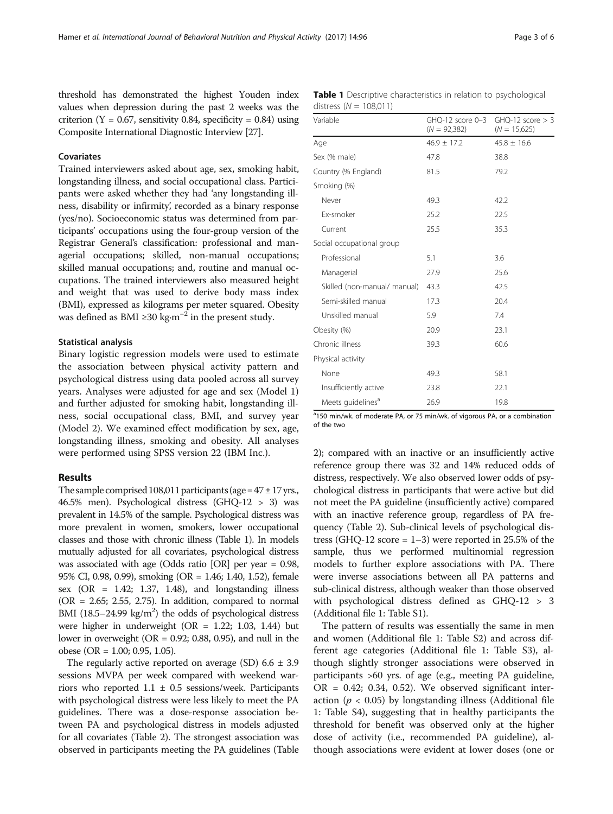threshold has demonstrated the highest Youden index values when depression during the past 2 weeks was the criterion (Y = 0.67, sensitivity 0.84, specificity = 0.84) using Composite International Diagnostic Interview [\[27\]](#page-5-0).

#### Covariates

Trained interviewers asked about age, sex, smoking habit, longstanding illness, and social occupational class. Participants were asked whether they had 'any longstanding illness, disability or infirmity', recorded as a binary response (yes/no). Socioeconomic status was determined from participants' occupations using the four-group version of the Registrar General's classification: professional and managerial occupations; skilled, non-manual occupations; skilled manual occupations; and, routine and manual occupations. The trained interviewers also measured height and weight that was used to derive body mass index (BMI), expressed as kilograms per meter squared. Obesity was defined as BMI ≥30 kg⋅m<sup>-2</sup> in the present study.

## Statistical analysis

Binary logistic regression models were used to estimate the association between physical activity pattern and psychological distress using data pooled across all survey years. Analyses were adjusted for age and sex (Model 1) and further adjusted for smoking habit, longstanding illness, social occupational class, BMI, and survey year (Model 2). We examined effect modification by sex, age, longstanding illness, smoking and obesity. All analyses were performed using SPSS version 22 (IBM Inc.).

## Results

The sample comprised 108,011 participants (age =  $47 \pm 17$  yrs., 46.5% men). Psychological distress (GHQ-12 > 3) was prevalent in 14.5% of the sample. Psychological distress was more prevalent in women, smokers, lower occupational classes and those with chronic illness (Table 1). In models mutually adjusted for all covariates, psychological distress was associated with age (Odds ratio [OR] per year = 0.98, 95% CI, 0.98, 0.99), smoking (OR = 1.46; 1.40, 1.52), female sex (OR = 1.42; 1.37, 1.48), and longstanding illness ( $OR = 2.65$ ; 2.55, 2.75). In addition, compared to normal BMI (18.5-24.99  $\text{kg/m}^2$ ) the odds of psychological distress were higher in underweight ( $OR = 1.22$ ; 1.03, 1.44) but lower in overweight ( $OR = 0.92$ ; 0.88, 0.95), and null in the obese (OR = 1.00; 0.95, 1.05).

The regularly active reported on average (SD)  $6.6 \pm 3.9$ sessions MVPA per week compared with weekend warriors who reported  $1.1 \pm 0.5$  sessions/week. Participants with psychological distress were less likely to meet the PA guidelines. There was a dose-response association between PA and psychological distress in models adjusted for all covariates (Table [2](#page-3-0)). The strongest association was observed in participants meeting the PA guidelines (Table

| Table 1 Descriptive characteristics in relation to psychological |  |  |
|------------------------------------------------------------------|--|--|
| distress $(N = 108,011)$                                         |  |  |

| Variable                      | GHQ-12 score 0-3<br>$(N = 92,382)$ | $GHQ-12$ score $> 3$<br>$(N = 15,625)$ |
|-------------------------------|------------------------------------|----------------------------------------|
| Age                           | $46.9 \pm 17.2$                    | $45.8 \pm 16.6$                        |
| Sex (% male)                  | 47.8                               | 38.8                                   |
| Country (% England)           | 81.5                               | 79.2                                   |
| Smoking (%)                   |                                    |                                        |
| Never                         | 49.3                               | 42.2                                   |
| Ex-smoker                     | 25.2                               | 22.5                                   |
| Current                       | 25.5                               | 35.3                                   |
| Social occupational group     |                                    |                                        |
| Professional                  | 5.1                                | 3.6                                    |
| Managerial                    | 27.9                               | 25.6                                   |
| Skilled (non-manual/ manual)  | 43.3                               | 42.5                                   |
| Semi-skilled manual           | 17.3                               | 20.4                                   |
| Unskilled manual              | 5.9                                | 7.4                                    |
| Obesity (%)                   | 20.9                               | 23.1                                   |
| Chronic illness               | 39.3                               | 60.6                                   |
| Physical activity             |                                    |                                        |
| None                          | 49.3                               | 58.1                                   |
| Insufficiently active         | 23.8                               | 22.1                                   |
| Meets quidelines <sup>a</sup> | 26.9                               | 19.8                                   |

<sup>a</sup>150 min/wk. of moderate PA, or 75 min/wk. of vigorous PA, or a combination of the two

[2\)](#page-3-0); compared with an inactive or an insufficiently active reference group there was 32 and 14% reduced odds of distress, respectively. We also observed lower odds of psychological distress in participants that were active but did not meet the PA guideline (insufficiently active) compared with an inactive reference group, regardless of PA frequency (Table [2](#page-3-0)). Sub-clinical levels of psychological distress (GHQ-12 score  $= 1-3$ ) were reported in 25.5% of the sample, thus we performed multinomial regression models to further explore associations with PA. There were inverse associations between all PA patterns and sub-clinical distress, although weaker than those observed with psychological distress defined as GHQ-12 > 3 (Additional file [1](#page-4-0): Table S1).

The pattern of results was essentially the same in men and women (Additional file [1](#page-4-0): Table S2) and across different age categories (Additional file [1:](#page-4-0) Table S3), although slightly stronger associations were observed in participants >60 yrs. of age (e.g., meeting PA guideline,  $OR = 0.42$ ; 0.34, 0.52). We observed significant interaction ( $p < 0.05$ ) by longstanding illness (Additional file [1:](#page-4-0) Table S4), suggesting that in healthy participants the threshold for benefit was observed only at the higher dose of activity (i.e., recommended PA guideline), although associations were evident at lower doses (one or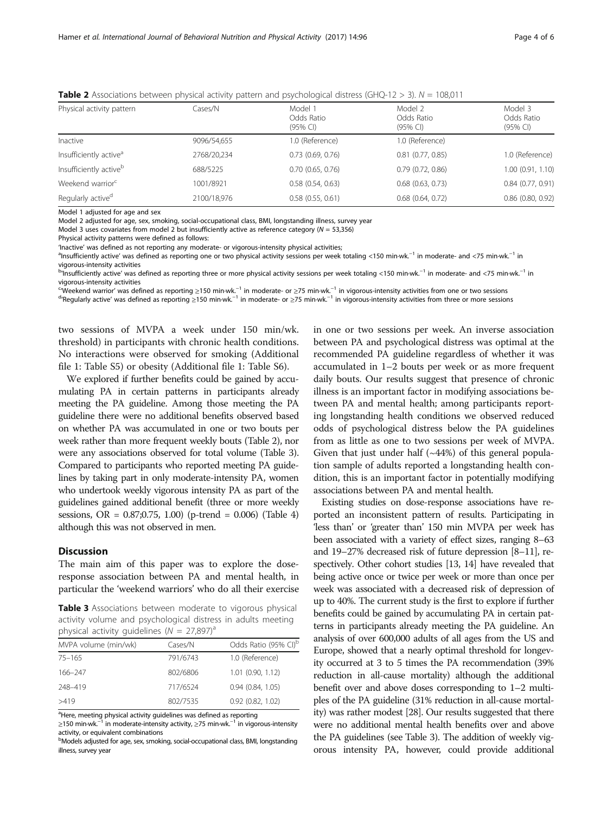| Physical activity pattern          | Cases/N     | Model 1<br>Odds Ratio<br>(95% CI) | Model 2<br>Odds Ratio<br>(95% CI) | Model 3<br>Odds Ratio<br>(95% CI) |
|------------------------------------|-------------|-----------------------------------|-----------------------------------|-----------------------------------|
| Inactive                           | 9096/54,655 | 1.0 (Reference)                   | 1.0 (Reference)                   |                                   |
| Insufficiently active <sup>a</sup> | 2768/20,234 | $0.73$ $(0.69, 0.76)$             | $0.81$ $(0.77, 0.85)$             | 1.0 (Reference)                   |
| Insufficiently active <sup>b</sup> | 688/5225    | $0.70$ $(0.65, 0.76)$             | 0.79(0.72, 0.86)                  | 1.00(0.91, 1.10)                  |
| Weekend warrior <sup>c</sup>       | 1001/8921   | 0.58(0.54, 0.63)                  | $0.68$ $(0.63, 0.73)$             | $0.84$ $(0.77, 0.91)$             |
| Regularly active <sup>d</sup>      | 2100/18,976 | $0.58$ $(0.55, 0.61)$             | $0.68$ $(0.64, 0.72)$             | $0.86$ $(0.80, 0.92)$             |

<span id="page-3-0"></span>**Table 2** Associations between physical activity pattern and psychological distress (GHQ-12 > 3).  $N = 108,011$ 

Model 1 adjusted for age and sex

Model 2 adjusted for age, sex, smoking, social-occupational class, BMI, longstanding illness, survey year

Model 3 uses covariates from model 2 but insufficiently active as reference category ( $N = 53,356$ )

Physical activity patterns were defined as follows:

'Inactive' was defined as not reporting any moderate- or vigorous-intensity physical activities;

Insufficiently active' was defined as reporting one or two physical activity sessions per week totaling <150 min·wk.−<sup>1</sup> in moderate- and <75 min·wk.−<sup>1</sup> in vigorous-intensity activities

<sup>b</sup>'Insufficiently active' was defined as reporting three or more physical activity sessions per week totaling <150 min·wk.<sup>−1</sup> in moderate- and <75 min·wk.<sup>−1</sup> in vigorous-intensity activities

<sup>c</sup>Weekend warrior' was defined as reporting ≥150 min·wk.<sup>-1</sup> in moderate- or ≥75 min·wk.<sup>-1</sup> in vigorous-intensity activities from one or two sessions defined as reporting >150 min·wk.<sup>-1</sup> in viene all all all all all al

'Regularly active' was defined as reporting ≥150 min·wk.−<sup>1</sup> in moderate- or ≥75 min·wk.−<sup>1</sup> in vigorous-intensity activities from three or more sessions

two sessions of MVPA a week under 150 min/wk. threshold) in participants with chronic health conditions. No interactions were observed for smoking (Additional file [1:](#page-4-0) Table S5) or obesity (Additional file [1:](#page-4-0) Table S6).

We explored if further benefits could be gained by accumulating PA in certain patterns in participants already meeting the PA guideline. Among those meeting the PA guideline there were no additional benefits observed based on whether PA was accumulated in one or two bouts per week rather than more frequent weekly bouts (Table 2), nor were any associations observed for total volume (Table 3). Compared to participants who reported meeting PA guidelines by taking part in only moderate-intensity PA, women who undertook weekly vigorous intensity PA as part of the guidelines gained additional benefit (three or more weekly sessions, OR = 0.87;0.75, 1.00) (p-trend = 0.006) (Table [4](#page-4-0)) although this was not observed in men.

## **Discussion**

The main aim of this paper was to explore the doseresponse association between PA and mental health, in particular the 'weekend warriors' who do all their exercise

Table 3 Associations between moderate to vigorous physical activity volume and psychological distress in adults meeting physical activity guidelines ( $N = 27,897$ )<sup>a</sup>

| Cases/N  | Odds Ratio (95% CI) <sup>b</sup> |
|----------|----------------------------------|
| 791/6743 | 1.0 (Reference)                  |
| 802/6806 | $1.01$ $(0.90, 1.12)$            |
| 717/6524 | 0.94(0.84, 1.05)                 |
| 802/7535 | 0.92(0.82, 1.02)                 |
|          |                                  |

<sup>a</sup>Here, meeting physical activity guidelines was defined as reporting

≥150 min·wk.<sup>-1</sup> in moderate-intensity activity, ≥75 min·wk.<sup>-1</sup> in vigorous-intensity activity, or equivalent combinations

in one or two sessions per week. An inverse association between PA and psychological distress was optimal at the recommended PA guideline regardless of whether it was accumulated in 1–2 bouts per week or as more frequent daily bouts. Our results suggest that presence of chronic illness is an important factor in modifying associations between PA and mental health; among participants reporting longstanding health conditions we observed reduced odds of psychological distress below the PA guidelines from as little as one to two sessions per week of MVPA. Given that just under half  $(\sim 44\%)$  of this general population sample of adults reported a longstanding health condition, this is an important factor in potentially modifying associations between PA and mental health.

Existing studies on dose-response associations have reported an inconsistent pattern of results. Participating in 'less than' or 'greater than' 150 min MVPA per week has been associated with a variety of effect sizes, ranging 8–63 and 19–27% decreased risk of future depression [[8](#page-5-0)–[11](#page-5-0)], respectively. Other cohort studies [\[13, 14](#page-5-0)] have revealed that being active once or twice per week or more than once per week was associated with a decreased risk of depression of up to 40%. The current study is the first to explore if further benefits could be gained by accumulating PA in certain patterns in participants already meeting the PA guideline. An analysis of over 600,000 adults of all ages from the US and Europe, showed that a nearly optimal threshold for longevity occurred at 3 to 5 times the PA recommendation (39% reduction in all-cause mortality) although the additional benefit over and above doses corresponding to 1–2 multiples of the PA guideline (31% reduction in all-cause mortality) was rather modest [\[28](#page-5-0)]. Our results suggested that there were no additional mental health benefits over and above the PA guidelines (see Table 3). The addition of weekly vigorous intensity PA, however, could provide additional

**b**<br>Models adjusted for age, sex, smoking, social-occupational class, BMI, longstanding illness, survey year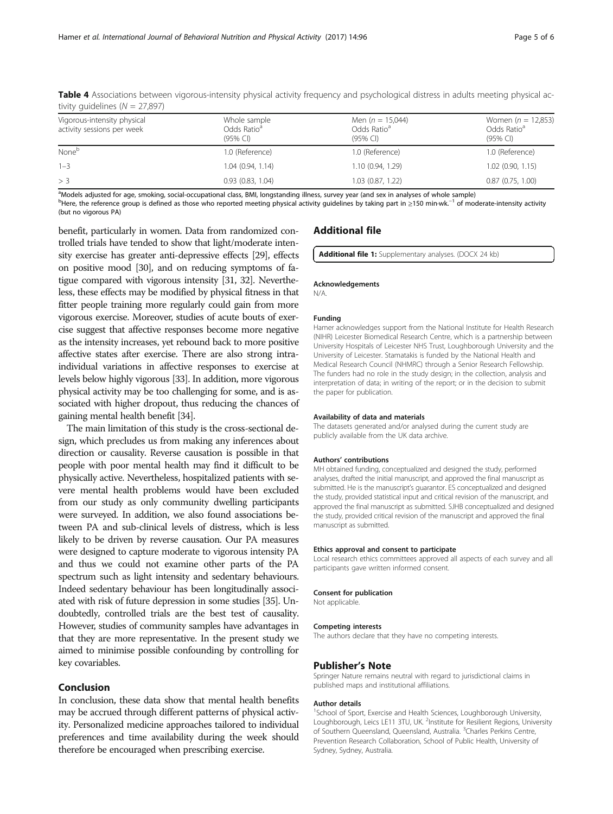| Vigorous-intensity physical<br>activity sessions per week | Whole sample<br>Odds Ratio <sup>a</sup><br>$(95%$ CI) | Men $(n = 15,044)$<br>Odds Ratio <sup>a</sup><br>$(95%$ CI) | Women ( $n = 12,853$ )<br>Odds Ratio <sup>a</sup><br>$(95%$ CI) |
|-----------------------------------------------------------|-------------------------------------------------------|-------------------------------------------------------------|-----------------------------------------------------------------|
| Noneb                                                     | 1.0 (Reference)                                       | 1.0 (Reference)                                             | 1.0 (Reference)                                                 |
| $1 - 3$                                                   | 1.04(0.94, 1.14)                                      | 1.10(0.94, 1.29)                                            | $1.02$ (0.90, 1.15)                                             |
| $>$ 3                                                     | 0.93(0.83, 1.04)                                      | 1.03 (0.87, 1.22)                                           | $0.87$ $(0.75, 1.00)$                                           |

<span id="page-4-0"></span>Table 4 Associations between vigorous-intensity physical activity frequency and psychological distress in adults meeting physical activity quidelines ( $N = 27.897$ )

a<br>Models adjusted for age, smoking, social-occupational class, BMI, longstanding illness, survey year (and sex in analyses of whole sample)

bHere, the reference group is defined as those who reported meeting physical activity guidelines by taking part in ≥150 min·wk.<sup>-1</sup> of moderate-intensity activity (but no vigorous PA)

benefit, particularly in women. Data from randomized controlled trials have tended to show that light/moderate intensity exercise has greater anti-depressive effects [\[29](#page-5-0)], effects on positive mood [[30](#page-5-0)], and on reducing symptoms of fatigue compared with vigorous intensity [\[31, 32\]](#page-5-0). Nevertheless, these effects may be modified by physical fitness in that fitter people training more regularly could gain from more vigorous exercise. Moreover, studies of acute bouts of exercise suggest that affective responses become more negative as the intensity increases, yet rebound back to more positive affective states after exercise. There are also strong intraindividual variations in affective responses to exercise at levels below highly vigorous [\[33\]](#page-5-0). In addition, more vigorous physical activity may be too challenging for some, and is associated with higher dropout, thus reducing the chances of gaining mental health benefit [\[34\]](#page-5-0).

The main limitation of this study is the cross-sectional design, which precludes us from making any inferences about direction or causality. Reverse causation is possible in that people with poor mental health may find it difficult to be physically active. Nevertheless, hospitalized patients with severe mental health problems would have been excluded from our study as only community dwelling participants were surveyed. In addition, we also found associations between PA and sub-clinical levels of distress, which is less likely to be driven by reverse causation. Our PA measures were designed to capture moderate to vigorous intensity PA and thus we could not examine other parts of the PA spectrum such as light intensity and sedentary behaviours. Indeed sedentary behaviour has been longitudinally associated with risk of future depression in some studies [\[35](#page-5-0)]. Undoubtedly, controlled trials are the best test of causality. However, studies of community samples have advantages in that they are more representative. In the present study we aimed to minimise possible confounding by controlling for key covariables.

# Conclusion

In conclusion, these data show that mental health benefits may be accrued through different patterns of physical activity. Personalized medicine approaches tailored to individual preferences and time availability during the week should therefore be encouraged when prescribing exercise.

# Additional file

[Additional file 1:](dx.doi.org/10.1186/s12966-017-0549-0) Supplementary analyses. (DOCX 24 kb)

## Acknowledgements

N/A.

#### Funding

Hamer acknowledges support from the National Institute for Health Research (NIHR) Leicester Biomedical Research Centre, which is a partnership between University Hospitals of Leicester NHS Trust, Loughborough University and the University of Leicester. Stamatakis is funded by the National Health and Medical Research Council (NHMRC) through a Senior Research Fellowship. The funders had no role in the study design; in the collection, analysis and interpretation of data; in writing of the report; or in the decision to submit the paper for publication.

#### Availability of data and materials

The datasets generated and/or analysed during the current study are publicly available from the UK data archive.

#### Authors' contributions

MH obtained funding, conceptualized and designed the study, performed analyses, drafted the initial manuscript, and approved the final manuscript as submitted. He is the manuscript's guarantor. ES conceptualized and designed the study, provided statistical input and critical revision of the manuscript, and approved the final manuscript as submitted. SJHB conceptualized and designed the study, provided critical revision of the manuscript and approved the final manuscript as submitted.

#### Ethics approval and consent to participate

Local research ethics committees approved all aspects of each survey and all participants gave written informed consent.

#### Consent for publication

Not applicable.

#### Competing interests

The authors declare that they have no competing interests.

#### Publisher's Note

Springer Nature remains neutral with regard to jurisdictional claims in published maps and institutional affiliations.

#### Author details

<sup>1</sup>School of Sport, Exercise and Health Sciences, Loughborough University Loughborough, Leics LE11 3TU, UK. <sup>2</sup>Institute for Resilient Regions, University of Southern Queensland, Queensland, Australia. <sup>3</sup>Charles Perkins Centre Prevention Research Collaboration, School of Public Health, University of Sydney, Sydney, Australia.